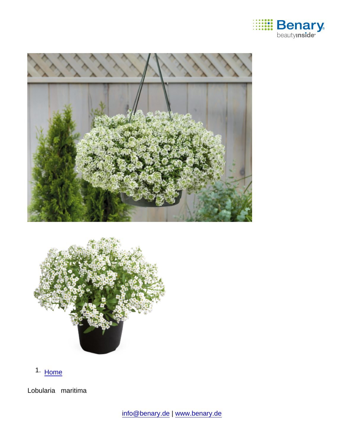

1. [Home](https://www.benary.com/)

Lobularia maritima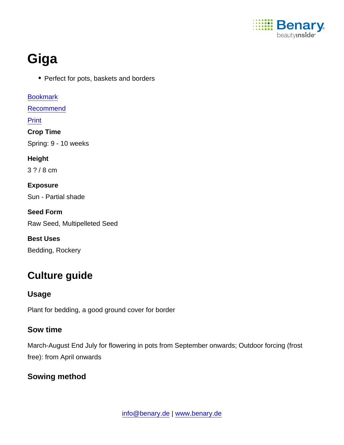

# Giga

• Perfect for pots, baskets and borders

[Bookmark](https://www.benary.com/flag/flag/product/6007?destination&token=L4JsoX0CHYvEEIfjvJbMHelLMyghNIARBTCblp3SAF0) [Recommend](mailto:?subject=Benary Lobularia maritima &body=https://www.benary.com/print/pdf/node/6007) Print Crop Time Spring: 9 - 10 weeks Height 3 ? / 8 cm Exposure Sun - Partial shade Seed Form Raw Seed, Multipelleted Seed Best Uses Bedding, Rockery

# Culture guide

Usage

Plant for bedding, a good ground cover for border

#### Sow time

March-August End July for flowering in pots from September onwards; Outdoor forcing (frost free): from April onwards

Sowing method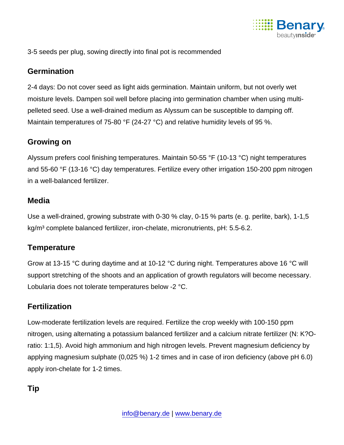

3-5 seeds per plug, sowing directly into final pot is recommended

#### **Germination**

2-4 days: Do not cover seed as light aids germination. Maintain uniform, but not overly wet moisture levels. Dampen soil well before placing into germination chamber when using multipelleted seed. Use a well-drained medium as Alyssum can be susceptible to damping off. Maintain temperatures of 75-80 °F (24-27 °C) and relative humidity levels of 95 %.

#### Growing on

Alyssum prefers cool finishing temperatures. Maintain 50-55 °F (10-13 °C) night temperatures and 55-60 °F (13-16 °C) day temperatures. Fertilize every other irrigation 150-200 ppm nitrogen in a well-balanced fertilizer.

#### Media

Use a well-drained, growing substrate with 0-30 % clay, 0-15 % parts (e. g. perlite, bark), 1-1,5 kg/m<sup>3</sup> complete balanced fertilizer, iron-chelate, micronutrients, pH: 5.5-6.2.

## **Temperature**

Grow at 13-15 °C during daytime and at 10-12 °C during night. Temperatures above 16 °C will support stretching of the shoots and an application of growth regulators will become necessary. Lobularia does not tolerate temperatures below -2 °C.

## **Fertilization**

Low-moderate fertilization levels are required. Fertilize the crop weekly with 100-150 ppm nitrogen, using alternating a potassium balanced fertilizer and a calcium nitrate fertilizer (N: K?Oratio: 1:1,5). Avoid high ammonium and high nitrogen levels. Prevent magnesium deficiency by applying magnesium sulphate (0,025 %) 1-2 times and in case of iron deficiency (above pH 6.0) apply iron-chelate for 1-2 times.

Tip